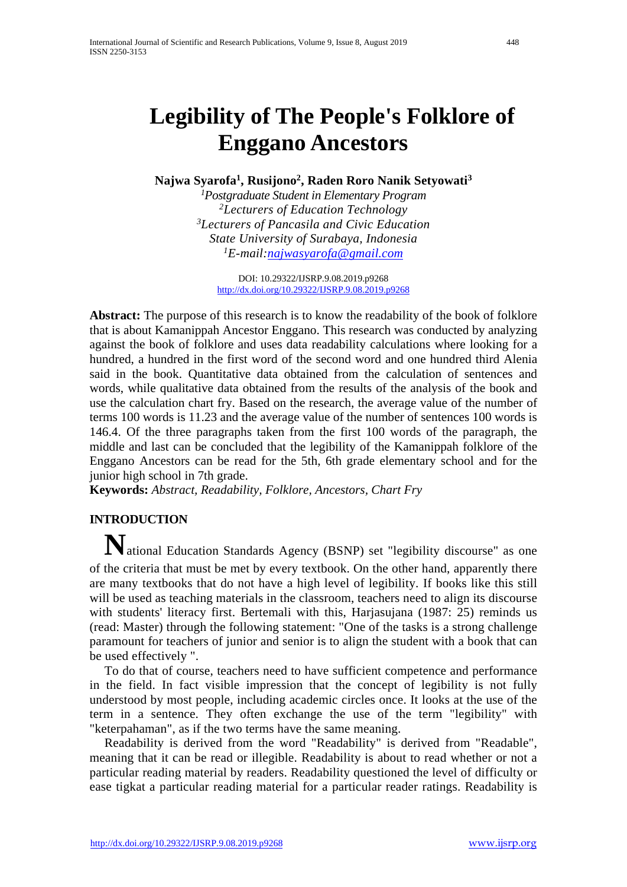# **Legibility of The People's Folklore of Enggano Ancestors**

**Najwa Syarofa1, Rusijono2, Raden Roro Nanik Setyowati3**

*1 Postgraduate Student in Elementary Program 2Lecturers of Education Technology 3Lecturers of Pancasila and Civic Education State University of Surabaya, Indonesia 1E-mail[:najwasyarofa@gmail.com](mailto:najwasyarofa@gmail.com)*

DOI: 10.29322/IJSRP.9.08.2019.p9268 <http://dx.doi.org/10.29322/IJSRP.9.08.2019.p9268>

**Abstract:** The purpose of this research is to know the readability of the book of folklore that is about Kamanippah Ancestor Enggano. This research was conducted by analyzing against the book of folklore and uses data readability calculations where looking for a hundred, a hundred in the first word of the second word and one hundred third Alenia said in the book. Quantitative data obtained from the calculation of sentences and words, while qualitative data obtained from the results of the analysis of the book and use the calculation chart fry. Based on the research, the average value of the number of terms 100 words is 11.23 and the average value of the number of sentences 100 words is 146.4. Of the three paragraphs taken from the first 100 words of the paragraph, the middle and last can be concluded that the legibility of the Kamanippah folklore of the Enggano Ancestors can be read for the 5th, 6th grade elementary school and for the junior high school in 7th grade.

**Keywords:** *Abstract, Readability, Folklore, Ancestors, Chart Fry*

## **INTRODUCTION**

**N**ational Education Standards Agency (BSNP) set "legibility discourse" as one of the criteria that must be met by every textbook. On the other hand, apparently there are many textbooks that do not have a high level of legibility. If books like this still will be used as teaching materials in the classroom, teachers need to align its discourse with students' literacy first. Bertemali with this, Harjasujana (1987: 25) reminds us (read: Master) through the following statement: "One of the tasks is a strong challenge paramount for teachers of junior and senior is to align the student with a book that can be used effectively ".

To do that of course, teachers need to have sufficient competence and performance in the field. In fact visible impression that the concept of legibility is not fully understood by most people, including academic circles once. It looks at the use of the term in a sentence. They often exchange the use of the term "legibility" with "keterpahaman", as if the two terms have the same meaning.

Readability is derived from the word "Readability" is derived from "Readable", meaning that it can be read or illegible. Readability is about to read whether or not a particular reading material by readers. Readability questioned the level of difficulty or ease tigkat a particular reading material for a particular reader ratings. Readability is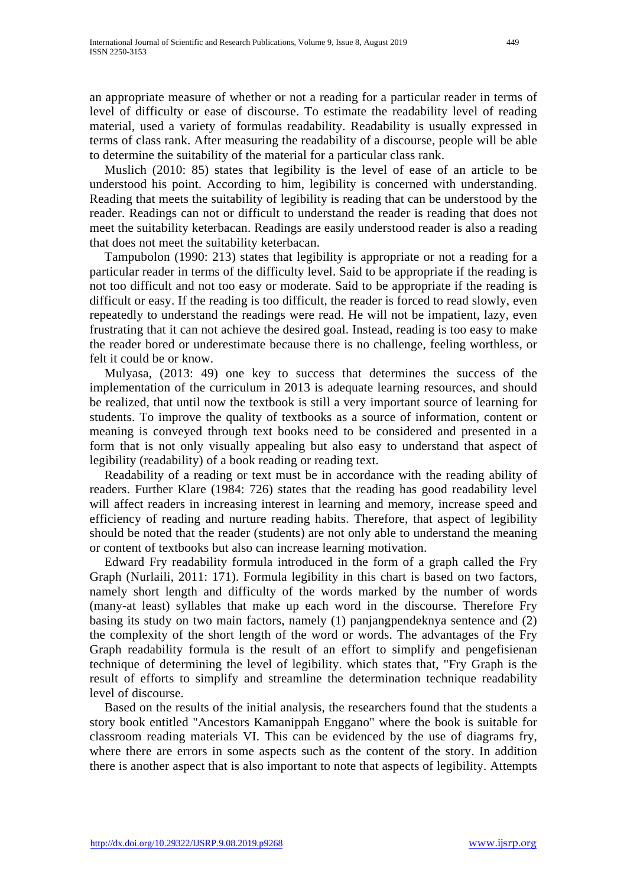an appropriate measure of whether or not a reading for a particular reader in terms of level of difficulty or ease of discourse. To estimate the readability level of reading material, used a variety of formulas readability. Readability is usually expressed in terms of class rank. After measuring the readability of a discourse, people will be able to determine the suitability of the material for a particular class rank.

Muslich (2010: 85) states that legibility is the level of ease of an article to be understood his point. According to him, legibility is concerned with understanding. Reading that meets the suitability of legibility is reading that can be understood by the reader. Readings can not or difficult to understand the reader is reading that does not meet the suitability keterbacan. Readings are easily understood reader is also a reading that does not meet the suitability keterbacan.

Tampubolon (1990: 213) states that legibility is appropriate or not a reading for a particular reader in terms of the difficulty level. Said to be appropriate if the reading is not too difficult and not too easy or moderate. Said to be appropriate if the reading is difficult or easy. If the reading is too difficult, the reader is forced to read slowly, even repeatedly to understand the readings were read. He will not be impatient, lazy, even frustrating that it can not achieve the desired goal. Instead, reading is too easy to make the reader bored or underestimate because there is no challenge, feeling worthless, or felt it could be or know.

Mulyasa, (2013: 49) one key to success that determines the success of the implementation of the curriculum in 2013 is adequate learning resources, and should be realized, that until now the textbook is still a very important source of learning for students. To improve the quality of textbooks as a source of information, content or meaning is conveyed through text books need to be considered and presented in a form that is not only visually appealing but also easy to understand that aspect of legibility (readability) of a book reading or reading text.

Readability of a reading or text must be in accordance with the reading ability of readers. Further Klare (1984: 726) states that the reading has good readability level will affect readers in increasing interest in learning and memory, increase speed and efficiency of reading and nurture reading habits. Therefore, that aspect of legibility should be noted that the reader (students) are not only able to understand the meaning or content of textbooks but also can increase learning motivation.

Edward Fry readability formula introduced in the form of a graph called the Fry Graph (Nurlaili, 2011: 171). Formula legibility in this chart is based on two factors, namely short length and difficulty of the words marked by the number of words (many-at least) syllables that make up each word in the discourse. Therefore Fry basing its study on two main factors, namely (1) panjangpendeknya sentence and (2) the complexity of the short length of the word or words. The advantages of the Fry Graph readability formula is the result of an effort to simplify and pengefisienan technique of determining the level of legibility. which states that, "Fry Graph is the result of efforts to simplify and streamline the determination technique readability level of discourse.

Based on the results of the initial analysis, the researchers found that the students a story book entitled "Ancestors Kamanippah Enggano" where the book is suitable for classroom reading materials VI. This can be evidenced by the use of diagrams fry, where there are errors in some aspects such as the content of the story. In addition there is another aspect that is also important to note that aspects of legibility. Attempts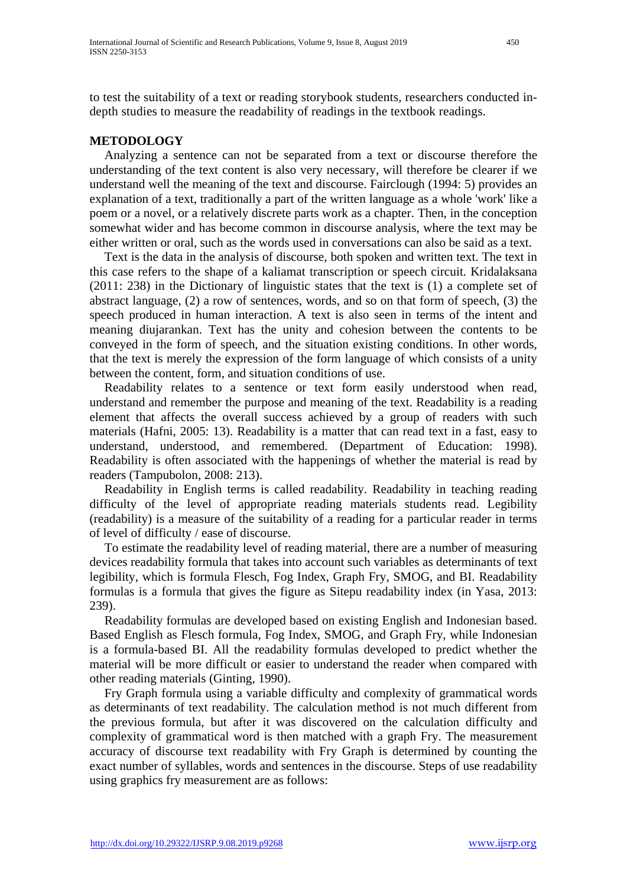to test the suitability of a text or reading storybook students, researchers conducted indepth studies to measure the readability of readings in the textbook readings.

## **METODOLOGY**

Analyzing a sentence can not be separated from a text or discourse therefore the understanding of the text content is also very necessary, will therefore be clearer if we understand well the meaning of the text and discourse. Fairclough (1994: 5) provides an explanation of a text, traditionally a part of the written language as a whole 'work' like a poem or a novel, or a relatively discrete parts work as a chapter. Then, in the conception somewhat wider and has become common in discourse analysis, where the text may be either written or oral, such as the words used in conversations can also be said as a text.

Text is the data in the analysis of discourse, both spoken and written text. The text in this case refers to the shape of a kaliamat transcription or speech circuit. Kridalaksana (2011: 238) in the Dictionary of linguistic states that the text is (1) a complete set of abstract language, (2) a row of sentences, words, and so on that form of speech, (3) the speech produced in human interaction. A text is also seen in terms of the intent and meaning diujarankan. Text has the unity and cohesion between the contents to be conveyed in the form of speech, and the situation existing conditions. In other words, that the text is merely the expression of the form language of which consists of a unity between the content, form, and situation conditions of use.

Readability relates to a sentence or text form easily understood when read, understand and remember the purpose and meaning of the text. Readability is a reading element that affects the overall success achieved by a group of readers with such materials (Hafni, 2005: 13). Readability is a matter that can read text in a fast, easy to understand, understood, and remembered. (Department of Education: 1998). Readability is often associated with the happenings of whether the material is read by readers (Tampubolon, 2008: 213).

Readability in English terms is called readability. Readability in teaching reading difficulty of the level of appropriate reading materials students read. Legibility (readability) is a measure of the suitability of a reading for a particular reader in terms of level of difficulty / ease of discourse.

To estimate the readability level of reading material, there are a number of measuring devices readability formula that takes into account such variables as determinants of text legibility, which is formula Flesch, Fog Index, Graph Fry, SMOG, and BI. Readability formulas is a formula that gives the figure as Sitepu readability index (in Yasa, 2013: 239).

Readability formulas are developed based on existing English and Indonesian based. Based English as Flesch formula, Fog Index, SMOG, and Graph Fry, while Indonesian is a formula-based BI. All the readability formulas developed to predict whether the material will be more difficult or easier to understand the reader when compared with other reading materials (Ginting, 1990).

Fry Graph formula using a variable difficulty and complexity of grammatical words as determinants of text readability. The calculation method is not much different from the previous formula, but after it was discovered on the calculation difficulty and complexity of grammatical word is then matched with a graph Fry. The measurement accuracy of discourse text readability with Fry Graph is determined by counting the exact number of syllables, words and sentences in the discourse. Steps of use readability using graphics fry measurement are as follows: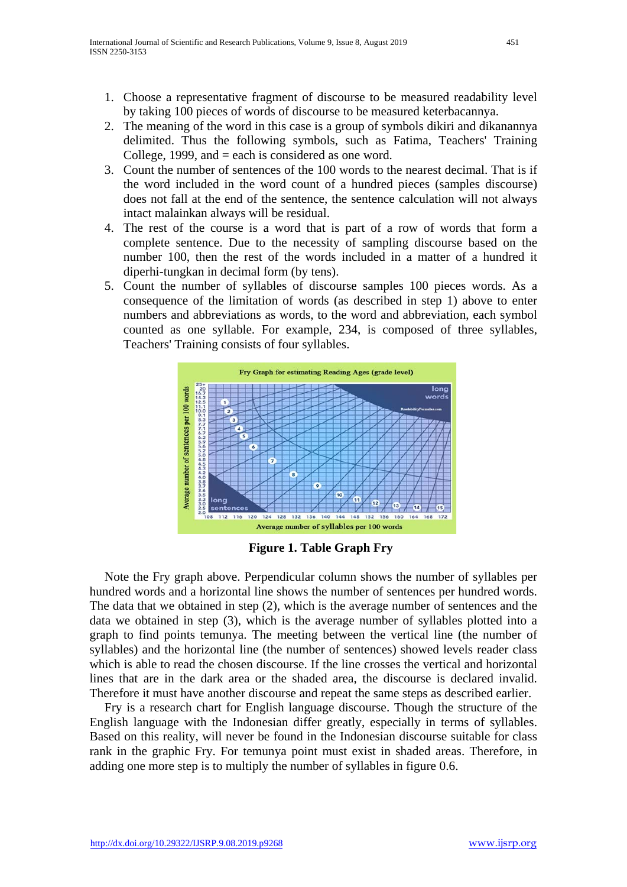- 1. Choose a representative fragment of discourse to be measured readability level by taking 100 pieces of words of discourse to be measured keterbacannya.
- 2. The meaning of the word in this case is a group of symbols dikiri and dikanannya delimited. Thus the following symbols, such as Fatima, Teachers' Training College, 1999, and = each is considered as one word.
- 3. Count the number of sentences of the 100 words to the nearest decimal. That is if the word included in the word count of a hundred pieces (samples discourse) does not fall at the end of the sentence, the sentence calculation will not always intact malainkan always will be residual.
- 4. The rest of the course is a word that is part of a row of words that form a complete sentence. Due to the necessity of sampling discourse based on the number 100, then the rest of the words included in a matter of a hundred it diperhi-tungkan in decimal form (by tens).
- 5. Count the number of syllables of discourse samples 100 pieces words. As a consequence of the limitation of words (as described in step 1) above to enter numbers and abbreviations as words, to the word and abbreviation, each symbol counted as one syllable. For example, 234, is composed of three syllables, Teachers' Training consists of four syllables.



**Figure 1. Table Graph Fry**

Note the Fry graph above. Perpendicular column shows the number of syllables per hundred words and a horizontal line shows the number of sentences per hundred words. The data that we obtained in step (2), which is the average number of sentences and the data we obtained in step (3), which is the average number of syllables plotted into a graph to find points temunya. The meeting between the vertical line (the number of syllables) and the horizontal line (the number of sentences) showed levels reader class which is able to read the chosen discourse. If the line crosses the vertical and horizontal lines that are in the dark area or the shaded area, the discourse is declared invalid. Therefore it must have another discourse and repeat the same steps as described earlier.

Fry is a research chart for English language discourse. Though the structure of the English language with the Indonesian differ greatly, especially in terms of syllables. Based on this reality, will never be found in the Indonesian discourse suitable for class rank in the graphic Fry. For temunya point must exist in shaded areas. Therefore, in adding one more step is to multiply the number of syllables in figure 0.6.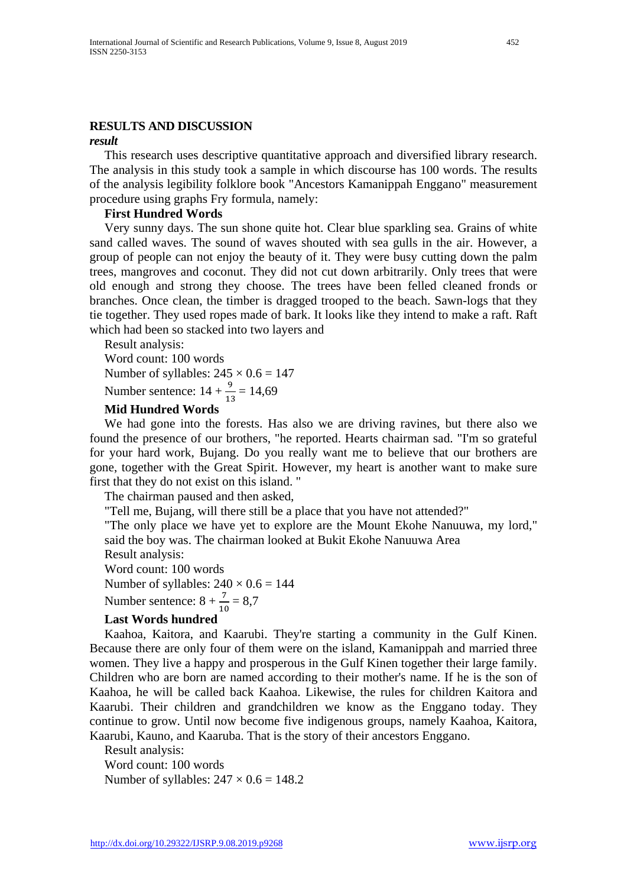#### **RESULTS AND DISCUSSION**

#### *result*

This research uses descriptive quantitative approach and diversified library research. The analysis in this study took a sample in which discourse has 100 words. The results of the analysis legibility folklore book "Ancestors Kamanippah Enggano" measurement procedure using graphs Fry formula, namely:

#### **First Hundred Words**

Very sunny days. The sun shone quite hot. Clear blue sparkling sea. Grains of white sand called waves. The sound of waves shouted with sea gulls in the air. However, a group of people can not enjoy the beauty of it. They were busy cutting down the palm trees, mangroves and coconut. They did not cut down arbitrarily. Only trees that were old enough and strong they choose. The trees have been felled cleaned fronds or branches. Once clean, the timber is dragged trooped to the beach. Sawn-logs that they tie together. They used ropes made of bark. It looks like they intend to make a raft. Raft which had been so stacked into two layers and

Result analysis:

Word count: 100 words Number of syllables:  $245 \times 0.6 = 147$ Number sentence:  $14 + \frac{9}{13} = 14,69$ 

#### **Mid Hundred Words**

We had gone into the forests. Has also we are driving ravines, but there also we found the presence of our brothers, "he reported. Hearts chairman sad. "I'm so grateful for your hard work, Bujang. Do you really want me to believe that our brothers are gone, together with the Great Spirit. However, my heart is another want to make sure first that they do not exist on this island. "

The chairman paused and then asked,

"Tell me, Bujang, will there still be a place that you have not attended?"

"The only place we have yet to explore are the Mount Ekohe Nanuuwa, my lord," said the boy was. The chairman looked at Bukit Ekohe Nanuuwa Area

Result analysis:

Word count: 100 words

Number of syllables:  $240 \times 0.6 = 144$ 

Number sentence:  $8 + \frac{7}{10} = 8.7$ 

#### **Last Words hundred**

Kaahoa, Kaitora, and Kaarubi. They're starting a community in the Gulf Kinen. Because there are only four of them were on the island, Kamanippah and married three women. They live a happy and prosperous in the Gulf Kinen together their large family. Children who are born are named according to their mother's name. If he is the son of Kaahoa, he will be called back Kaahoa. Likewise, the rules for children Kaitora and Kaarubi. Their children and grandchildren we know as the Enggano today. They continue to grow. Until now become five indigenous groups, namely Kaahoa, Kaitora, Kaarubi, Kauno, and Kaaruba. That is the story of their ancestors Enggano.

Result analysis:

Word count: 100 words Number of syllables:  $247 \times 0.6 = 148.2$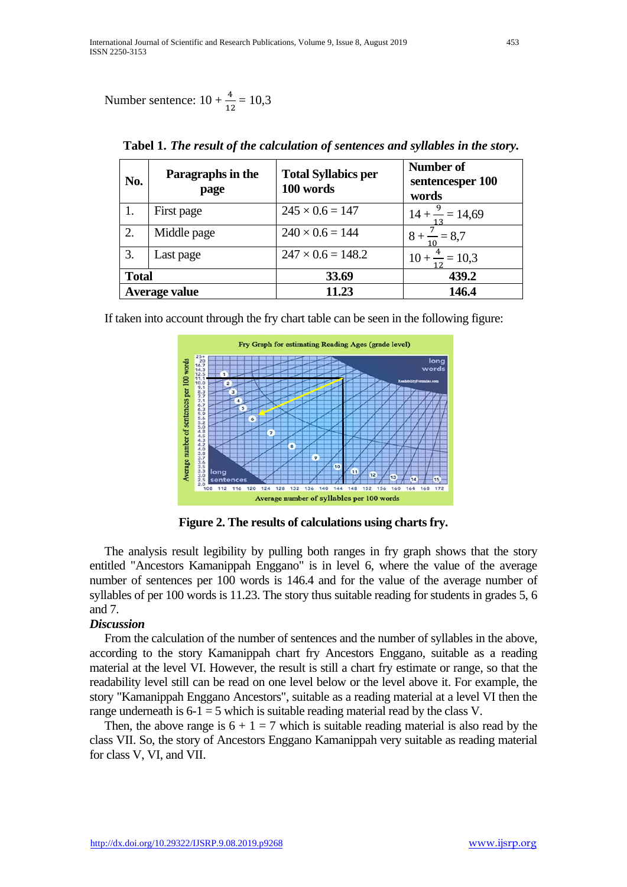Number sentence:  $10 + \frac{4}{12} = 10,3$ 

| No.           | Paragraphs in the<br>page | <b>Total Syllabics per</b><br>100 words | Number of<br>sentencesper 100<br>words |
|---------------|---------------------------|-----------------------------------------|----------------------------------------|
| 1.            | First page                | $245 \times 0.6 = 147$                  | $14 + \frac{9}{2} = 14,69$             |
| 2.            | Middle page               | $240 \times 0.6 = 144$                  | $8 + - = 8.7$                          |
| 3.            | Last page                 | $247 \times 0.6 = 148.2$                | $10 + \frac{4}{1} = 10,3$              |
| <b>Total</b>  |                           | 33.69                                   | 439.2                                  |
| Average value |                           | 11.23                                   | 146.4                                  |

**Tabel 1.** *The result of the calculation of sentences and syllables in the story.*

If taken into account through the fry chart table can be seen in the following figure:



**Figure 2. The results of calculations using charts fry.**

The analysis result legibility by pulling both ranges in fry graph shows that the story entitled "Ancestors Kamanippah Enggano" is in level 6, where the value of the average number of sentences per 100 words is 146.4 and for the value of the average number of syllables of per 100 words is 11.23. The story thus suitable reading for students in grades 5, 6 and 7.

### *Discussion*

From the calculation of the number of sentences and the number of syllables in the above, according to the story Kamanippah chart fry Ancestors Enggano, suitable as a reading material at the level VI. However, the result is still a chart fry estimate or range, so that the readability level still can be read on one level below or the level above it. For example, the story "Kamanippah Enggano Ancestors", suitable as a reading material at a level VI then the range underneath is  $6-1 = 5$  which is suitable reading material read by the class V.

Then, the above range is  $6 + 1 = 7$  which is suitable reading material is also read by the class VII. So, the story of Ancestors Enggano Kamanippah very suitable as reading material for class V, VI, and VII.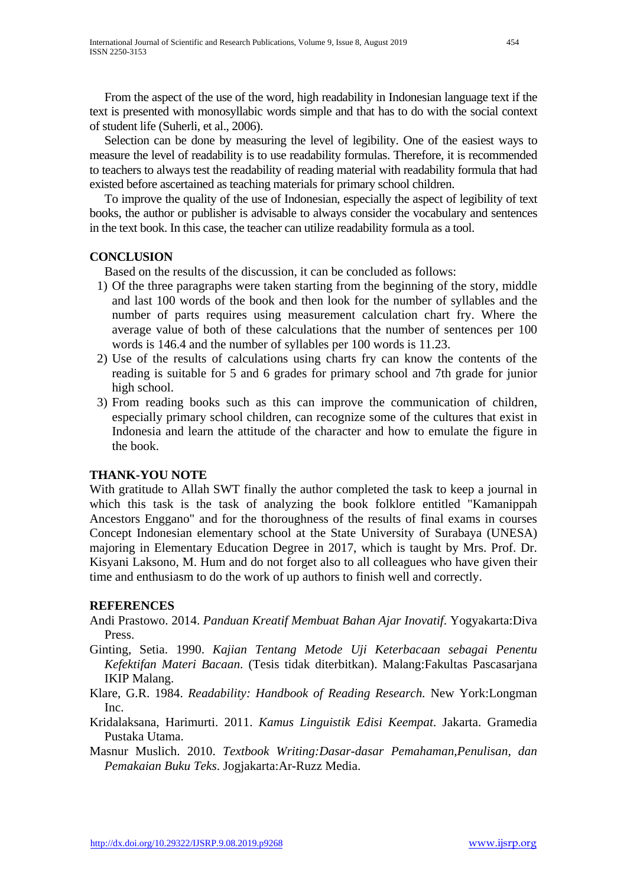From the aspect of the use of the word, high readability in Indonesian language text if the text is presented with monosyllabic words simple and that has to do with the social context of student life (Suherli, et al., 2006).

Selection can be done by measuring the level of legibility. One of the easiest ways to measure the level of readability is to use readability formulas. Therefore, it is recommended to teachers to always test the readability of reading material with readability formula that had existed before ascertained as teaching materials for primary school children.

To improve the quality of the use of Indonesian, especially the aspect of legibility of text books, the author or publisher is advisable to always consider the vocabulary and sentences in the text book. In this case, the teacher can utilize readability formula as a tool.

## **CONCLUSION**

Based on the results of the discussion, it can be concluded as follows:

- 1) Of the three paragraphs were taken starting from the beginning of the story, middle and last 100 words of the book and then look for the number of syllables and the number of parts requires using measurement calculation chart fry. Where the average value of both of these calculations that the number of sentences per 100 words is 146.4 and the number of syllables per 100 words is 11.23.
- 2) Use of the results of calculations using charts fry can know the contents of the reading is suitable for 5 and 6 grades for primary school and 7th grade for junior high school.
- 3) From reading books such as this can improve the communication of children, especially primary school children, can recognize some of the cultures that exist in Indonesia and learn the attitude of the character and how to emulate the figure in the book.

### **THANK-YOU NOTE**

With gratitude to Allah SWT finally the author completed the task to keep a journal in which this task is the task of analyzing the book folklore entitled "Kamanippah Ancestors Enggano" and for the thoroughness of the results of final exams in courses Concept Indonesian elementary school at the State University of Surabaya (UNESA) majoring in Elementary Education Degree in 2017, which is taught by Mrs. Prof. Dr. Kisyani Laksono, M. Hum and do not forget also to all colleagues who have given their time and enthusiasm to do the work of up authors to finish well and correctly.

### **REFERENCES**

- Andi Prastowo. 2014. *Panduan Kreatif Membuat Bahan Ajar Inovatif*. Yogyakarta:Diva Press.
- Ginting, Setia. 1990. *Kajian Tentang Metode Uji Keterbacaan sebagai Penentu Kefektifan Materi Bacaan*. (Tesis tidak diterbitkan). Malang:Fakultas Pascasarjana IKIP Malang.
- Klare, G.R. 1984. *Readability: Handbook of Reading Research.* New York:Longman Inc.
- Kridalaksana, Harimurti. 2011. *Kamus Linguistik Edisi Keempat*. Jakarta. Gramedia Pustaka Utama.
- Masnur Muslich. 2010. *Textbook Writing:Dasar-dasar Pemahaman,Penulisan, dan Pemakaian Buku Teks*. Jogjakarta:Ar-Ruzz Media.